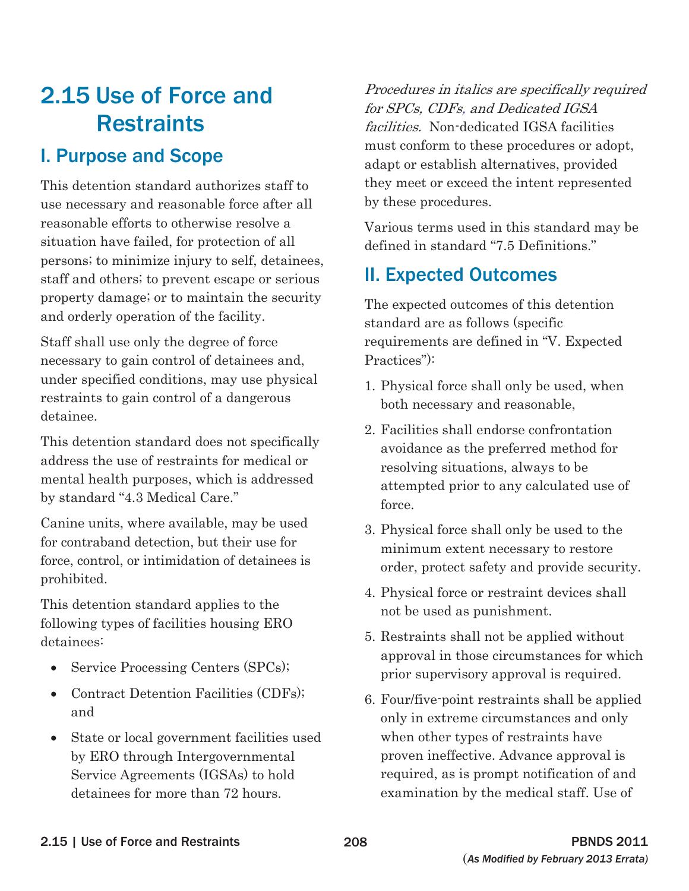This detention standard authorizes staff to they meet or exceed the intent represented use necessary and reasonable force after all by these procedures. reasonable efforts to otherwise resolve a Various terms used in this standard may be situation have failed, for protection of all defined in standard "7.5 Definitions." persons; to minimize injury to self, detainees, staff and others; to prevent escape or serious **II. Expected Outcomes** property damage; or to maintain the security The expected outcomes of this detention and orderly operation of the facility.<br>standard are as follows (specific

Staff shall use only the degree of force requirements are defined in "V. Expected necessary to gain control of detainees and, Practices"): under specified conditions, may use physical 1. Physical force shall only be used, when restraints to gain control of a dangerous both necessary and reasonable, detainee.

Canine units, where available, may be used<br>for contraband detection, but their use for<br>force, control, or intimidation of detainees is<br>prohibited.<br>prohibited.

- 
- Contract Detention Facilities (CDFs);  $\qquad \qquad 6.$  Four/five-point restraints shall be applied and
- State or local government facilities used when other types of restraints have

2.15 Use of Force and Procedures in italics are specifically required for SPCs, CDFs, and Dedicated IGSA Restraints facilities. Non-dedicated IGSA facilities **1. Purpose and Scope** and **nust conform** to these procedures or adopt, and  $\frac{1}{2}$  adapt or establish alternatives, provided

- 
- 2. Facilities shall endorse confrontation This detention standard does not specifically<br>address the use of restraints for medical or<br>mental health purposes, which is addressed<br>by standard "4.3 Medical Care." force.
	-
- This detention standard applies to the not be used as punishment.<br>following types of facilities housing ERO
- detainees: detainees:  $\frac{5. \text{Restraints shall not be applied without}}{2. \text{Testraints}}$ • Service Processing Centers (SPCs); a supervisory approval in those circumstances for which prior supervisory approval is required.
	- and only in extreme circumstances and only by ERO through Intergovernmental proven ineffective. Advance approval is Service Agreements (IGSAs) to hold required, as is prompt notification of and detainees for more than 72 hours. examination by the medical staff. Use of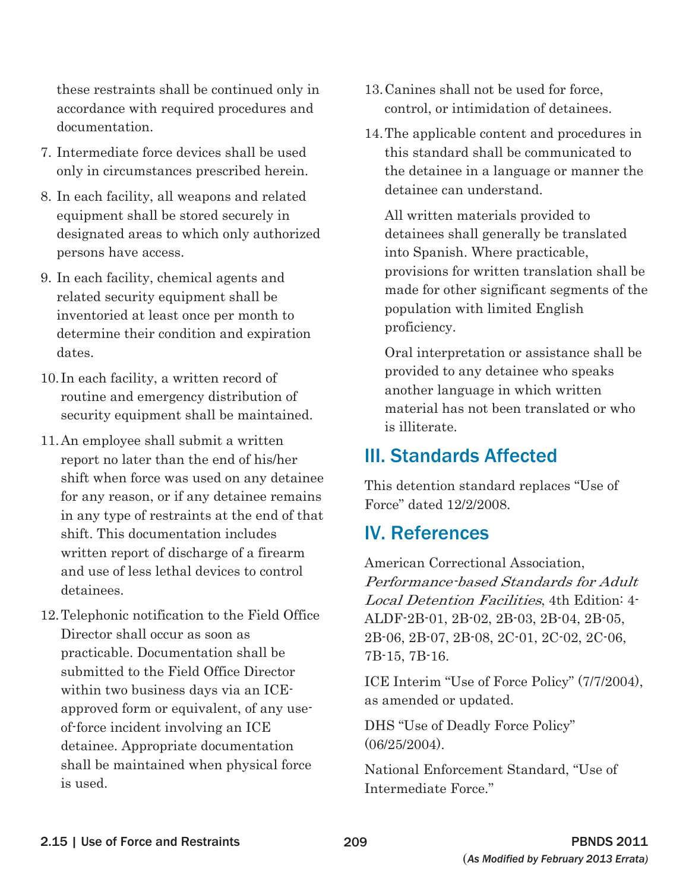these restraints shall be continued only in accordance with required procedures and documentation.

- 7. Intermediate force devices shall be used only in circumstances prescribed herein.
- 8. In each facility, all weapons and related equipment shall be stored securely in designated areas to which only authorized persons have access.
- 9. In each facility, chemical agents and related security equipment shall be inventoried at least once per month to determine their condition and expiration dates.
- 10. In each facility, a written record of routine and emergency distribution of security equipment shall be maintained.
- 11.An employee shall submit a written report no later than the end of his/her shift when force was used on any detainee for any reason, or if any detainee remains in any type of restraints at the end of that shift. This documentation includes written report of discharge of a firearm and use of less lethal devices to control detainees.
- 12.Telephonic notification to the Field Office Director shall occur as soon as practicable. Documentation shall be submitted to the Field Office Director within two business days via an ICEapproved form or equivalent, of any useof-force incident involving an ICE detainee. Appropriate documentation shall be maintained when physical force is used.
- 13.Canines shall not be used for force, control, or intimidation of detainees.
- 14.The applicable content and procedures in this standard shall be communicated to the detainee in a language or manner the detainee can understand.

All written materials provided to detainees shall generally be translated into Spanish. Where practicable, provisions for written translation shall be made for other significant segments of the population with limited English proficiency.

Oral interpretation or assistance shall be provided to any detainee who speaks another language in which written material has not been translated or who is illiterate.

# III. Standards Affected

This detention standard replaces "Use of Force" dated 12/2/2008.

# IV. References

American Correctional Association, Performance-based Standards for Adult Local Detention Facilities, 4th Edition: 4 ALDF-2B-01, 2B-02, 2B-03, 2B-04, 2B-05, 2B-06, 2B-07, 2B-08, 2C-01, 2C-02, 2C-06, 7B-15, 7B-16.

ICE Interim "Use of Force Policy" (7/7/2004), as amended or updated.

DHS "Use of Deadly Force Policy" (06/25/2004).

National Enforcement Standard, "Use of Intermediate Force."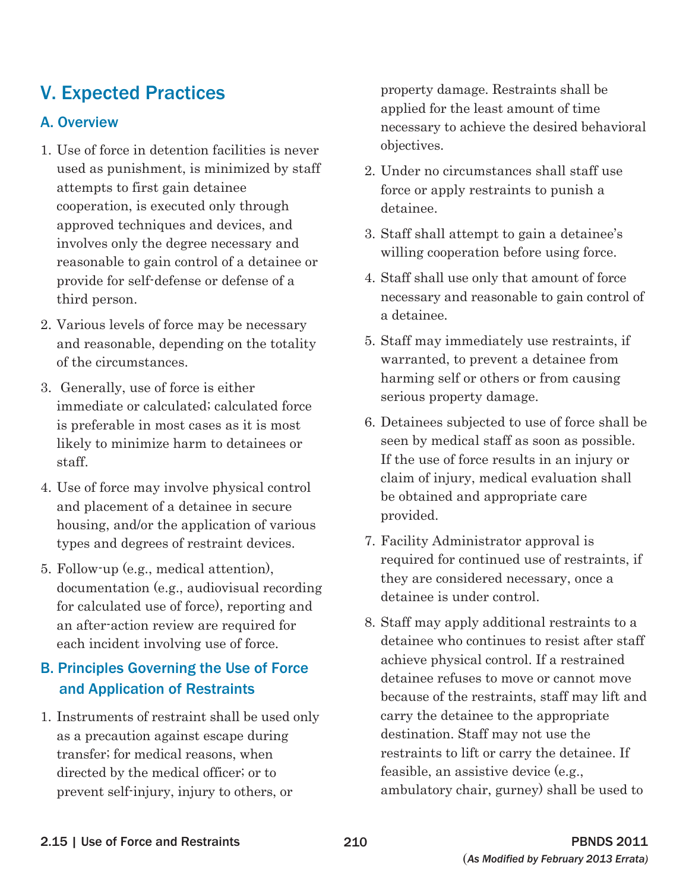# V. Expected Practices

## A. Overview

- 1. Use of force in detention facilities is never used as punishment, is minimized by staff attempts to first gain detainee cooperation, is executed only through approved techniques and devices, and involves only the degree necessary and reasonable to gain control of a detainee or provide for self-defense or defense of a third person.
- 2. Various levels of force may be necessary and reasonable, depending on the totality of the circumstances.
- 3. Generally, use of force is either immediate or calculated; calculated force is preferable in most cases as it is most likely to minimize harm to detainees or staff.
- 4. Use of force may involve physical control and placement of a detainee in secure housing, and/or the application of various types and degrees of restraint devices.
- 5. Follow-up (e.g., medical attention), documentation (e.g., audiovisual recording for calculated use of force), reporting and an after-action review are required for each incident involving use of force.

## B. Principles Governing the Use of Force and Application of Restraints

1. Instruments of restraint shall be used only as a precaution against escape during transfer; for medical reasons, when directed by the medical officer; or to prevent self-injury, injury to others, or

property damage. Restraints shall be applied for the least amount of time necessary to achieve the desired behavioral objectives.

- 2. Under no circumstances shall staff use force or apply restraints to punish a detainee.
- 3. Staff shall attempt to gain a detainee's willing cooperation before using force.
- 4. Staff shall use only that amount of force necessary and reasonable to gain control of a detainee.
- 5. Staff may immediately use restraints, if warranted, to prevent a detainee from harming self or others or from causing serious property damage.
- 6. Detainees subjected to use of force shall be seen by medical staff as soon as possible. If the use of force results in an injury or claim of injury, medical evaluation shall be obtained and appropriate care provided.
- 7. Facility Administrator approval is required for continued use of restraints, if they are considered necessary, once a detainee is under control.
- 8. Staff may apply additional restraints to a detainee who continues to resist after staff achieve physical control. If a restrained detainee refuses to move or cannot move because of the restraints, staff may lift and carry the detainee to the appropriate destination. Staff may not use the restraints to lift or carry the detainee. If feasible, an assistive device (e.g., ambulatory chair, gurney) shall be used to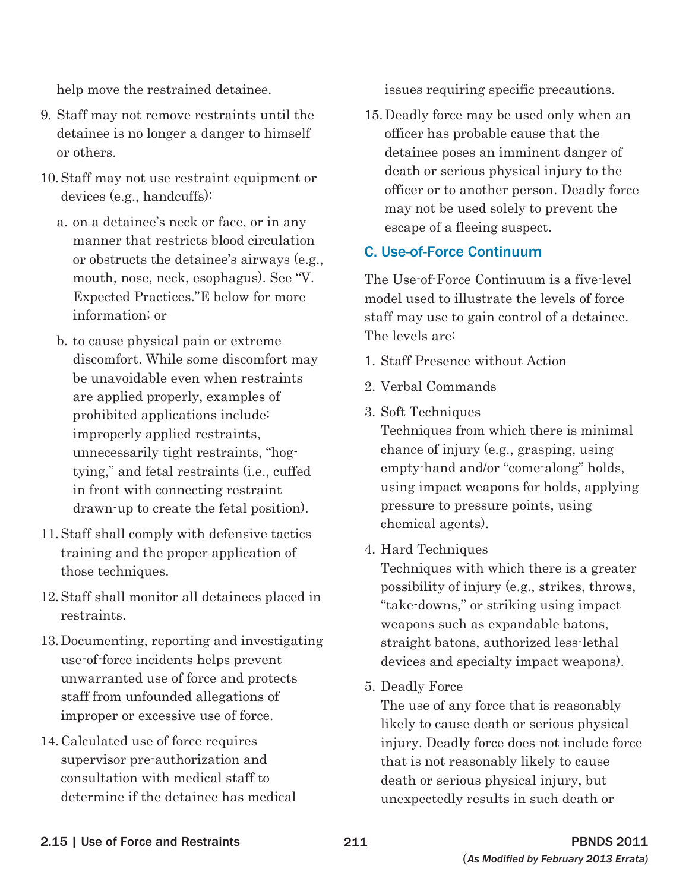help move the restrained detainee.

- 9. Staff may not remove restraints until the detainee is no longer a danger to himself or others.
- 10. Staff may not use restraint equipment or devices (e.g., handcuffs):
	- a. on a detainee's neck or face, or in any manner that restricts blood circulation or obstructs the detainee's airways (e.g., mouth, nose, neck, esophagus). See "V. Expected Practices."E below for more information; or
	- b. to cause physical pain or extreme discomfort. While some discomfort may be unavoidable even when restraints are applied properly, examples of prohibited applications include: improperly applied restraints, unnecessarily tight restraints, "hogtying," and fetal restraints (i.e., cuffed in front with connecting restraint drawn-up to create the fetal position).
- 11. Staff shall comply with defensive tactics training and the proper application of those techniques.
- 12. Staff shall monitor all detainees placed in restraints.
- 13. Documenting, reporting and investigating use-of-force incidents helps prevent unwarranted use of force and protects staff from unfounded allegations of improper or excessive use of force.
- 14. Calculated use of force requires supervisor pre-authorization and consultation with medical staff to determine if the detainee has medical

issues requiring specific precautions.

15. Deadly force may be used only when an officer has probable cause that the detainee poses an imminent danger of death or serious physical injury to the officer or to another person. Deadly force may not be used solely to prevent the escape of a fleeing suspect.

## C. Use-of-Force Continuum

The Use-of-Force Continuum is a five-level model used to illustrate the levels of force staff may use to gain control of a detainee. The levels are:

- 1. Staff Presence without Action
- 2. Verbal Commands
- 3. Soft Techniques

Techniques from which there is minimal chance of injury (e.g., grasping, using empty-hand and/or "come-along" holds, using impact weapons for holds, applying pressure to pressure points, using chemical agents).

4. Hard Techniques

Techniques with which there is a greater possibility of injury (e.g., strikes, throws, "take-downs," or striking using impact weapons such as expandable batons, straight batons, authorized less-lethal devices and specialty impact weapons).

5. Deadly Force

The use of any force that is reasonably likely to cause death or serious physical injury. Deadly force does not include force that is not reasonably likely to cause death or serious physical injury, but unexpectedly results in such death or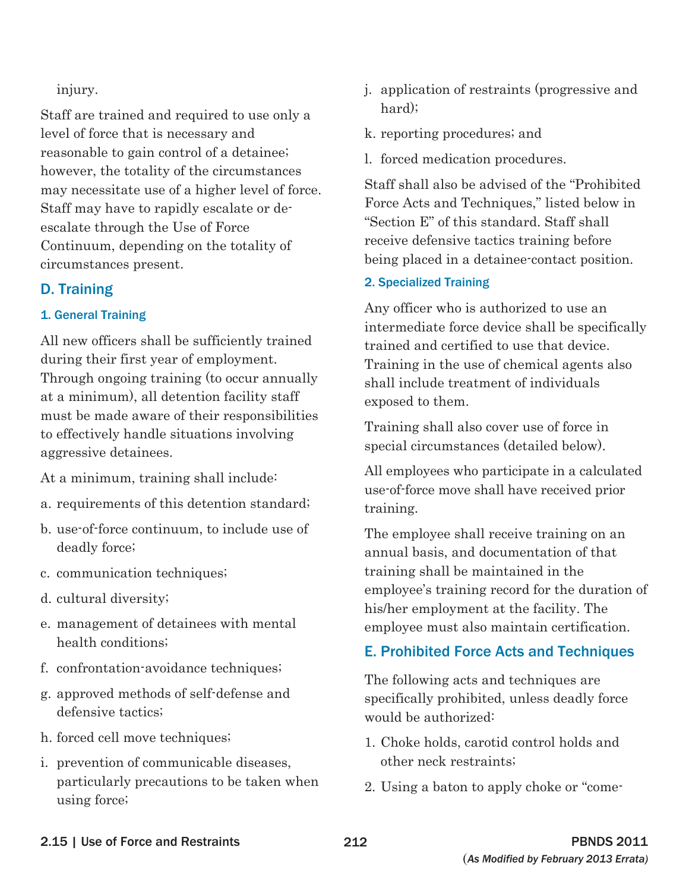injury.

Staff are trained and required to use only a level of force that is necessary and reasonable to gain control of a detainee; however, the totality of the circumstances may necessitate use of a higher level of force. Staff may have to rapidly escalate or deescalate through the Use of Force Continuum, depending on the totality of circumstances present.

## D. Training

### 1. General Training

All new officers shall be sufficiently trained during their first year of employment. Through ongoing training (to occur annually at a minimum), all detention facility staff must be made aware of their responsibilities to effectively handle situations involving aggressive detainees.

At a minimum, training shall include:

- a. requirements of this detention standard;
- b. use-of-force continuum, to include use of deadly force;
- c. communication techniques;
- d. cultural diversity;
- e. management of detainees with mental health conditions;
- f. confrontation-avoidance techniques;
- g. approved methods of self-defense and defensive tactics;
- h. forced cell move techniques;
- i. prevention of communicable diseases, particularly precautions to be taken when using force;
- j. application of restraints (progressive and hard);
- k. reporting procedures; and
- l. forced medication procedures.

Staff shall also be advised of the "Prohibited Force Acts and Techniques," listed below in "Section E" of this standard. Staff shall receive defensive tactics training before being placed in a detainee-contact position.

### 2. Specialized Training

Any officer who is authorized to use an intermediate force device shall be specifically trained and certified to use that device. Training in the use of chemical agents also shall include treatment of individuals exposed to them.

Training shall also cover use of force in special circumstances (detailed below).

All employees who participate in a calculated use-of-force move shall have received prior training.

The employee shall receive training on an annual basis, and documentation of that training shall be maintained in the employee's training record for the duration of his/her employment at the facility. The employee must also maintain certification.

## E. Prohibited Force Acts and Techniques

The following acts and techniques are specifically prohibited, unless deadly force would be authorized:

- 1. Choke holds, carotid control holds and other neck restraints;
- 2. Using a baton to apply choke or "come-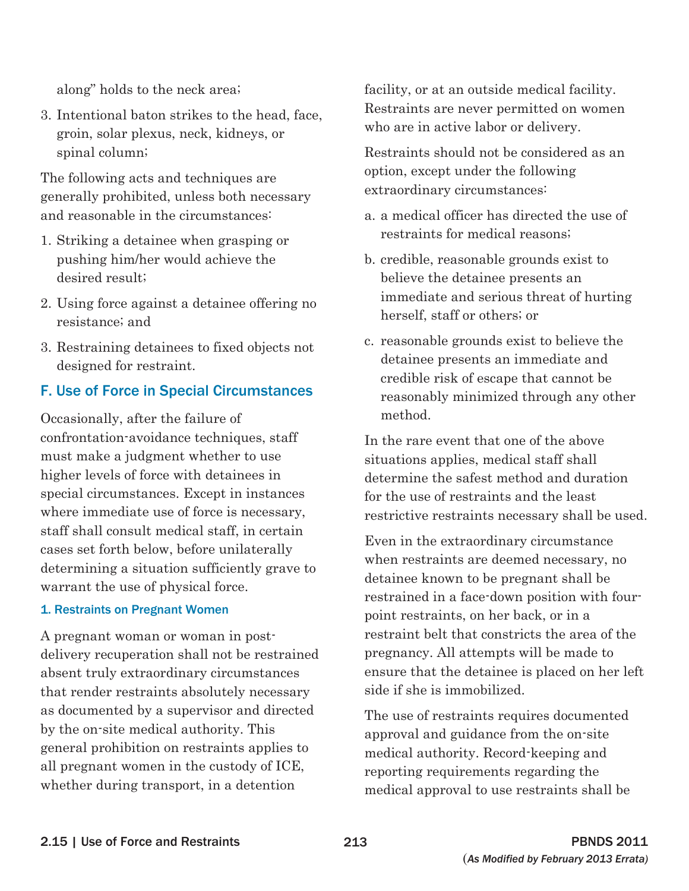along" holds to the neck area;

3. Intentional baton strikes to the head, face, groin, solar plexus, neck, kidneys, or spinal column;

The following acts and techniques are generally prohibited, unless both necessary and reasonable in the circumstances:

- 1. Striking a detainee when grasping or pushing him/her would achieve the desired result;
- 2. Using force against a detainee offering no resistance; and
- 3. Restraining detainees to fixed objects not designed for restraint.

## F. Use of Force in Special Circumstances

Occasionally, after the failure of confrontation-avoidance techniques, staff must make a judgment whether to use higher levels of force with detainees in special circumstances. Except in instances where immediate use of force is necessary, staff shall consult medical staff, in certain cases set forth below, before unilaterally determining a situation sufficiently grave to warrant the use of physical force.

#### 1. Restraints on Pregnant Women

A pregnant woman or woman in postdelivery recuperation shall not be restrained absent truly extraordinary circumstances that render restraints absolutely necessary as documented by a supervisor and directed by the on-site medical authority. This general prohibition on restraints applies to all pregnant women in the custody of ICE, whether during transport, in a detention

facility, or at an outside medical facility. Restraints are never permitted on women who are in active labor or delivery.

Restraints should not be considered as an option, except under the following extraordinary circumstances:

- a. a medical officer has directed the use of restraints for medical reasons;
- b. credible, reasonable grounds exist to believe the detainee presents an immediate and serious threat of hurting herself, staff or others; or
- c. reasonable grounds exist to believe the detainee presents an immediate and credible risk of escape that cannot be reasonably minimized through any other method.

In the rare event that one of the above situations applies, medical staff shall determine the safest method and duration for the use of restraints and the least restrictive restraints necessary shall be used.

Even in the extraordinary circumstance when restraints are deemed necessary, no detainee known to be pregnant shall be restrained in a face-down position with fourpoint restraints, on her back, or in a restraint belt that constricts the area of the pregnancy. All attempts will be made to ensure that the detainee is placed on her left side if she is immobilized.

The use of restraints requires documented approval and guidance from the on-site medical authority. Record-keeping and reporting requirements regarding the medical approval to use restraints shall be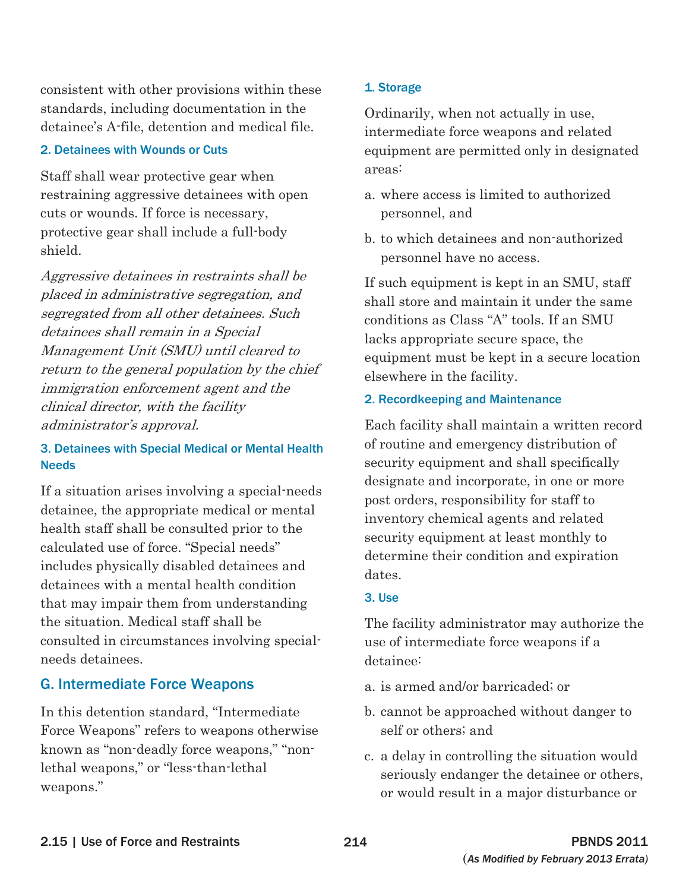consistent with other provisions within these standards, including documentation in the detainee's A-file, detention and medical file.

#### 2. Detainees with Wounds or Cuts

Staff shall wear protective gear when restraining aggressive detainees with open cuts or wounds. If force is necessary, protective gear shall include a full-body shield.

Aggressive detainees in restraints shall be placed in administrative segregation, and segregated from all other detainees. Such detainees shall remain in a Special Management Unit (SMU) until cleared to return to the general population by the chief immigration enforcement agent and the clinical director, with the facility administrator's approval.

### 3. Detainees with Special Medical or Mental Health Needs

If a situation arises involving a special-needs detainee, the appropriate medical or mental health staff shall be consulted prior to the calculated use of force. "Special needs" includes physically disabled detainees and detainees with a mental health condition that may impair them from understanding the situation. Medical staff shall be consulted in circumstances involving specialneeds detainees.

## G. Intermediate Force Weapons

In this detention standard, "Intermediate Force Weapons" refers to weapons otherwise known as "non-deadly force weapons," "nonlethal weapons," or "less-than-lethal weapons."

#### 1. Storage

Ordinarily, when not actually in use, intermediate force weapons and related equipment are permitted only in designated areas:

- a. where access is limited to authorized personnel, and
- b. to which detainees and non-authorized personnel have no access.

If such equipment is kept in an SMU, staff shall store and maintain it under the same conditions as Class "A" tools. If an SMU lacks appropriate secure space, the equipment must be kept in a secure location elsewhere in the facility.

#### 2. Recordkeeping and Maintenance

Each facility shall maintain a written record of routine and emergency distribution of security equipment and shall specifically designate and incorporate, in one or more post orders, responsibility for staff to inventory chemical agents and related security equipment at least monthly to determine their condition and expiration dates.

#### 3. Use

The facility administrator may authorize the use of intermediate force weapons if a detainee:

- a. is armed and/or barricaded; or
- b. cannot be approached without danger to self or others; and
- c. a delay in controlling the situation would seriously endanger the detainee or others, or would result in a major disturbance or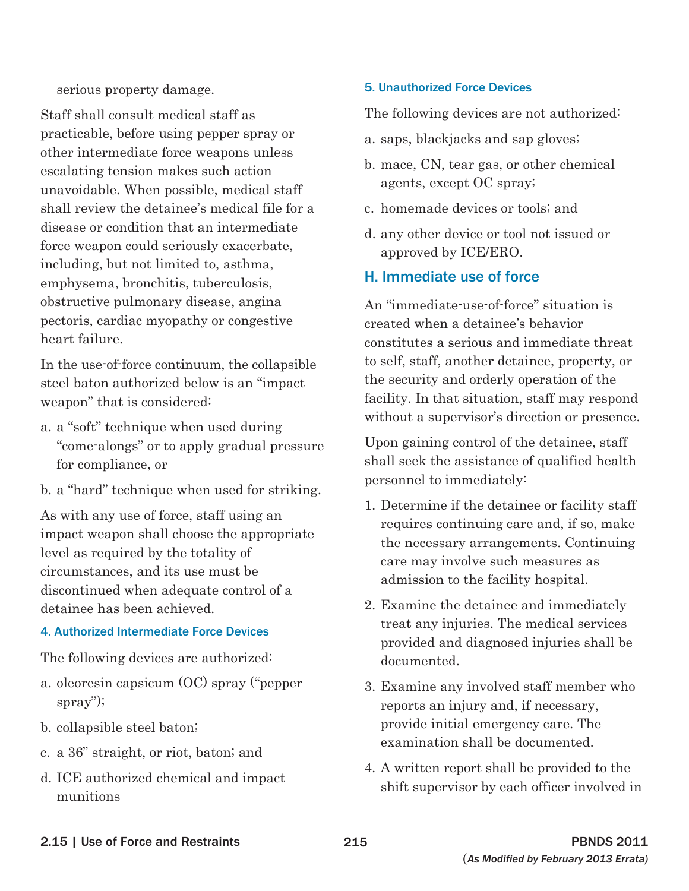serious property damage.

Staff shall consult medical staff as practicable, before using pepper spray or other intermediate force weapons unless escalating tension makes such action unavoidable. When possible, medical staff shall review the detainee's medical file for a disease or condition that an intermediate force weapon could seriously exacerbate, including, but not limited to, asthma, emphysema, bronchitis, tuberculosis, obstructive pulmonary disease, angina pectoris, cardiac myopathy or congestive heart failure.

In the use-of-force continuum, the collapsible steel baton authorized below is an "impact weapon" that is considered:

- a. a "soft" technique when used during "come-alongs" or to apply gradual pressure for compliance, or
- b. a "hard" technique when used for striking.

As with any use of force, staff using an impact weapon shall choose the appropriate level as required by the totality of circumstances, and its use must be discontinued when adequate control of a detainee has been achieved.

#### 4. Authorized Intermediate Force Devices

The following devices are authorized:

- a. oleoresin capsicum (OC) spray ("pepper spray");
- b. collapsible steel baton;
- c. a 36" straight, or riot, baton; and
- d. ICE authorized chemical and impact munitions

#### 5. Unauthorized Force Devices

The following devices are not authorized:

- a. saps, blackjacks and sap gloves;
- b. mace, CN, tear gas, or other chemical agents, except OC spray;
- c. homemade devices or tools; and
- d. any other device or tool not issued or approved by ICE/ERO.

### H. Immediate use of force

An "immediate-use-of-force" situation is created when a detainee's behavior constitutes a serious and immediate threat to self, staff, another detainee, property, or the security and orderly operation of the facility. In that situation, staff may respond without a supervisor's direction or presence.

Upon gaining control of the detainee, staff shall seek the assistance of qualified health personnel to immediately:

- 1. Determine if the detainee or facility staff requires continuing care and, if so, make the necessary arrangements. Continuing care may involve such measures as admission to the facility hospital.
- 2. Examine the detainee and immediately treat any injuries. The medical services provided and diagnosed injuries shall be documented.
- 3. Examine any involved staff member who reports an injury and, if necessary, provide initial emergency care. The examination shall be documented.
- 4. A written report shall be provided to the shift supervisor by each officer involved in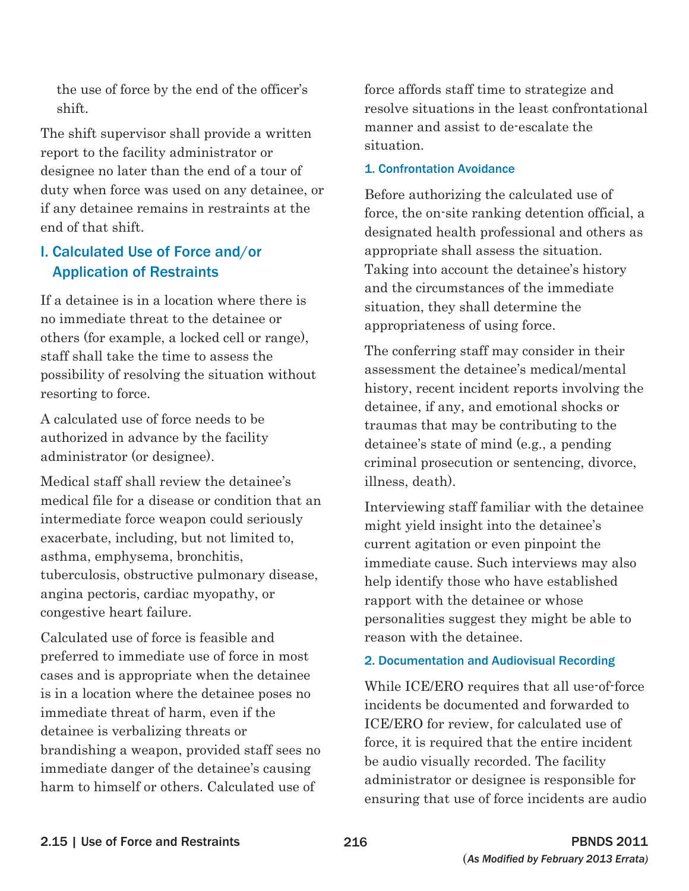the use of force by the end of the officer's shift.

The shift supervisor shall provide a written report to the facility administrator or designee no later than the end of a tour of duty when force was used on any detainee, or if any detainee remains in restraints at the end of that shift.

## I. Calculated Use of Force and/or Application of Restraints

If a detainee is in a location where there is no immediate threat to the detainee or others (for example, a locked cell or range), staff shall take the time to assess the possibility of resolving the situation without resorting to force.

A calculated use of force needs to be authorized in advance by the facility administrator (or designee).

Medical staff shall review the detainee's medical file for a disease or condition that an intermediate force weapon could seriously exacerbate, including, but not limited to, asthma, emphysema, bronchitis, tuberculosis, obstructive pulmonary disease, angina pectoris, cardiac myopathy, or congestive heart failure.

Calculated use of force is feasible and preferred to immediate use of force in most cases and is appropriate when the detainee is in a location where the detainee poses no immediate threat of harm, even if the detainee is verbalizing threats or brandishing a weapon, provided staff sees no immediate danger of the detainee's causing harm to himself or others. Calculated use of

force affords staff time to strategize and resolve situations in the least confrontational manner and assist to de-escalate the situation.

#### 1. Confrontation Avoidance

Before authorizing the calculated use of force, the on-site ranking detention official, a designated health professional and others as appropriate shall assess the situation. Taking into account the detainee's history and the circumstances of the immediate situation, they shall determine the appropriateness of using force.

The conferring staff may consider in their assessment the detainee's medical/mental history, recent incident reports involving the detainee, if any, and emotional shocks or traumas that may be contributing to the detainee's state of mind (e.g., a pending criminal prosecution or sentencing, divorce, illness, death).

Interviewing staff familiar with the detainee might yield insight into the detainee's current agitation or even pinpoint the immediate cause. Such interviews may also help identify those who have established rapport with the detainee or whose personalities suggest they might be able to reason with the detainee.

### 2. Documentation and Audiovisual Recording

While ICE/ERO requires that all use-of-force incidents be documented and forwarded to ICE/ERO for review, for calculated use of force, it is required that the entire incident be audio visually recorded. The facility administrator or designee is responsible for ensuring that use of force incidents are audio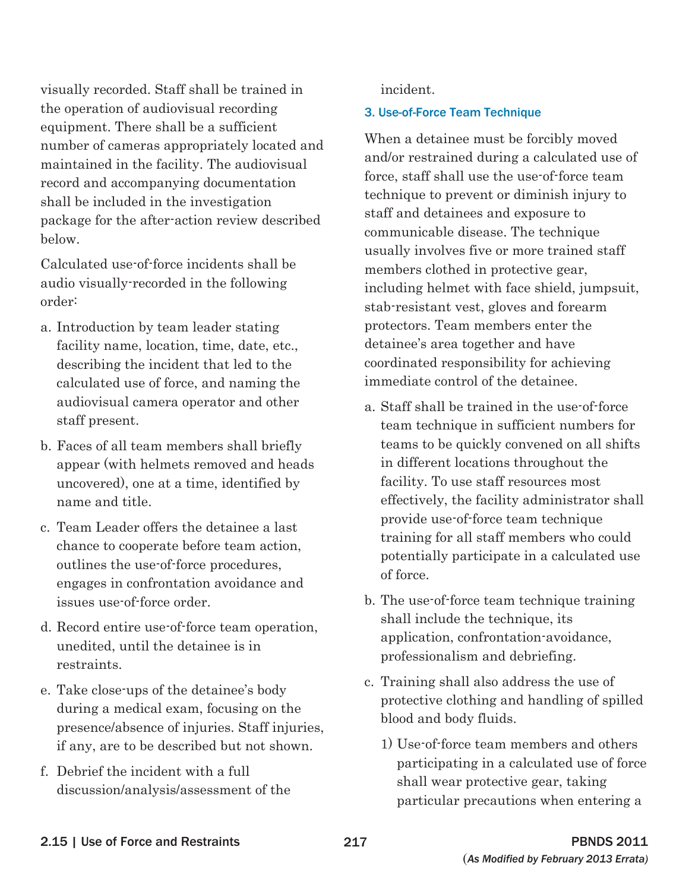visually recorded. Staff shall be trained in the operation of audiovisual recording equipment. There shall be a sufficient number of cameras appropriately located and maintained in the facility. The audiovisual record and accompanying documentation shall be included in the investigation package for the after-action review described below.

Calculated use-of-force incidents shall be audio visually-recorded in the following order:

- a. Introduction by team leader stating facility name, location, time, date, etc., describing the incident that led to the calculated use of force, and naming the audiovisual camera operator and other staff present.
- b. Faces of all team members shall briefly appear (with helmets removed and heads uncovered), one at a time, identified by name and title.
- c. Team Leader offers the detainee a last chance to cooperate before team action, outlines the use-of-force procedures, engages in confrontation avoidance and issues use-of-force order.
- d. Record entire use-of-force team operation, unedited, until the detainee is in restraints.
- e. Take close-ups of the detainee's body during a medical exam, focusing on the presence/absence of injuries. Staff injuries, if any, are to be described but not shown.
- f. Debrief the incident with a full discussion/analysis/assessment of the

incident.

#### 3. Use-of-Force Team Technique

When a detainee must be forcibly moved and/or restrained during a calculated use of force, staff shall use the use-of-force team technique to prevent or diminish injury to staff and detainees and exposure to communicable disease. The technique usually involves five or more trained staff members clothed in protective gear, including helmet with face shield, jumpsuit, stab-resistant vest, gloves and forearm protectors. Team members enter the detainee's area together and have coordinated responsibility for achieving immediate control of the detainee.

- a. Staff shall be trained in the use-of-force team technique in sufficient numbers for teams to be quickly convened on all shifts in different locations throughout the facility. To use staff resources most effectively, the facility administrator shall provide use-of-force team technique training for all staff members who could potentially participate in a calculated use of force.
- b. The use-of-force team technique training shall include the technique, its application, confrontation-avoidance, professionalism and debriefing.
- c. Training shall also address the use of protective clothing and handling of spilled blood and body fluids.
	- 1) Use-of-force team members and others participating in a calculated use of force shall wear protective gear, taking particular precautions when entering a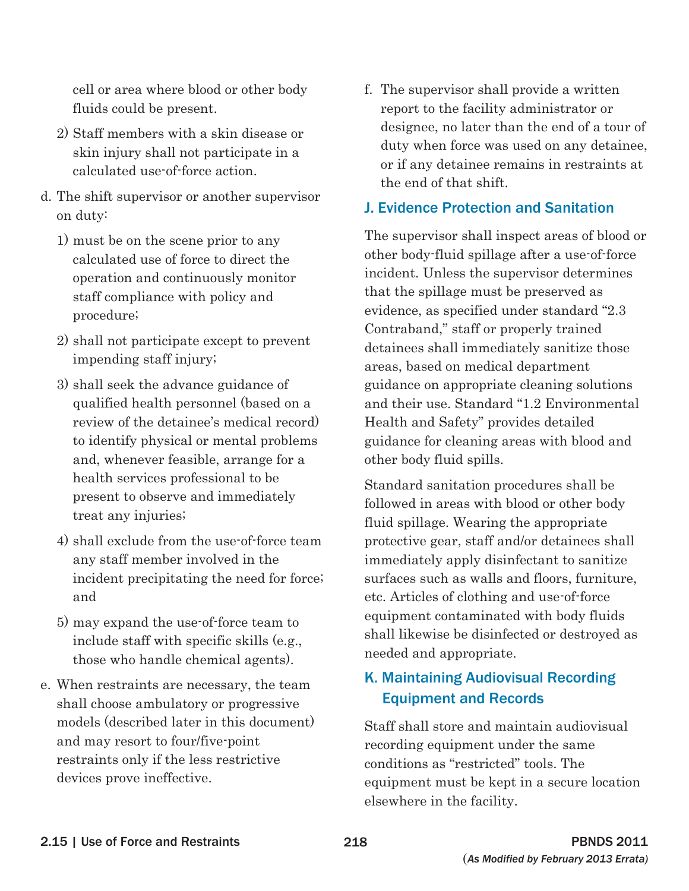cell or area where blood or other body fluids could be present.

- 2) Staff members with a skin disease or skin injury shall not participate in a calculated use-of-force action.
- d. The shift supervisor or another supervisor on duty:
	- 1) must be on the scene prior to any calculated use of force to direct the operation and continuously monitor staff compliance with policy and procedure;
	- 2) shall not participate except to prevent impending staff injury;
	- 3) shall seek the advance guidance of qualified health personnel (based on a review of the detainee's medical record) to identify physical or mental problems and, whenever feasible, arrange for a health services professional to be present to observe and immediately treat any injuries;
	- 4) shall exclude from the use-of-force team any staff member involved in the incident precipitating the need for force; and
	- 5) may expand the use-of-force team to include staff with specific skills (e.g., those who handle chemical agents).
- e. When restraints are necessary, the team shall choose ambulatory or progressive models (described later in this document) and may resort to four/five-point restraints only if the less restrictive devices prove ineffective.

f. The supervisor shall provide a written report to the facility administrator or designee, no later than the end of a tour of duty when force was used on any detainee, or if any detainee remains in restraints at the end of that shift.

## J. Evidence Protection and Sanitation

The supervisor shall inspect areas of blood or other body-fluid spillage after a use-of-force incident. Unless the supervisor determines that the spillage must be preserved as evidence, as specified under standard "2.3 Contraband," staff or properly trained detainees shall immediately sanitize those areas, based on medical department guidance on appropriate cleaning solutions and their use. Standard "1.2 Environmental Health and Safety" provides detailed guidance for cleaning areas with blood and other body fluid spills.

Standard sanitation procedures shall be followed in areas with blood or other body fluid spillage. Wearing the appropriate protective gear, staff and/or detainees shall immediately apply disinfectant to sanitize surfaces such as walls and floors, furniture, etc. Articles of clothing and use-of-force equipment contaminated with body fluids shall likewise be disinfected or destroyed as needed and appropriate.

## K. Maintaining Audiovisual Recording Equipment and Records

Staff shall store and maintain audiovisual recording equipment under the same conditions as "restricted" tools. The equipment must be kept in a secure location elsewhere in the facility.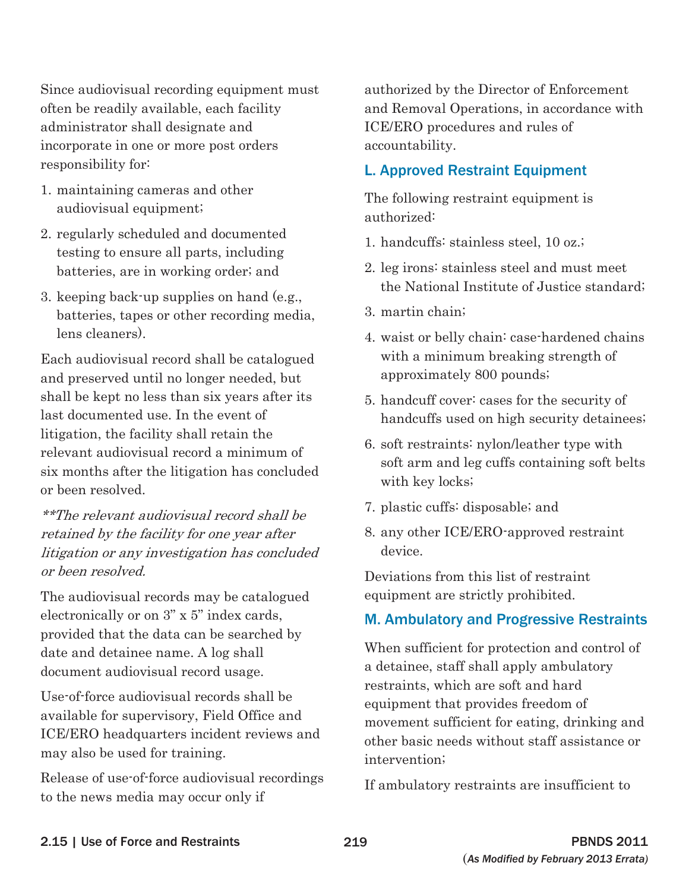Since audiovisual recording equipment must often be readily available, each facility administrator shall designate and incorporate in one or more post orders responsibility for:

- 1. maintaining cameras and other audiovisual equipment;
- 2. regularly scheduled and documented testing to ensure all parts, including batteries, are in working order; and
- 3. keeping back-up supplies on hand (e.g., batteries, tapes or other recording media, lens cleaners).

Each audiovisual record shall be catalogued and preserved until no longer needed, but shall be kept no less than six years after its last documented use. In the event of litigation, the facility shall retain the relevant audiovisual record a minimum of six months after the litigation has concluded or been resolved.

\*\*The relevant audiovisual record shall be retained by the facility for one year after litigation or any investigation has concluded or been resolved.

The audiovisual records may be catalogued electronically or on 3" x 5" index cards, provided that the data can be searched by date and detainee name. A log shall document audiovisual record usage.

Use-of-force audiovisual records shall be available for supervisory, Field Office and ICE/ERO headquarters incident reviews and may also be used for training.

Release of use-of-force audiovisual recordings to the news media may occur only if

authorized by the Director of Enforcement and Removal Operations, in accordance with ICE/ERO procedures and rules of accountability.

## L. Approved Restraint Equipment

The following restraint equipment is authorized:

- 1. handcuffs: stainless steel, 10 oz.;
- 2. leg irons: stainless steel and must meet the National Institute of Justice standard;
- 3. martin chain;
- 4. waist or belly chain: case-hardened chains with a minimum breaking strength of approximately 800 pounds;
- 5. handcuff cover: cases for the security of handcuffs used on high security detainees;
- 6. soft restraints: nylon/leather type with soft arm and leg cuffs containing soft belts with key locks;
- 7. plastic cuffs: disposable; and
- 8. any other ICE/ERO-approved restraint device.

Deviations from this list of restraint equipment are strictly prohibited.

## M. Ambulatory and Progressive Restraints

When sufficient for protection and control of a detainee, staff shall apply ambulatory restraints, which are soft and hard equipment that provides freedom of movement sufficient for eating, drinking and other basic needs without staff assistance or intervention;

If ambulatory restraints are insufficient to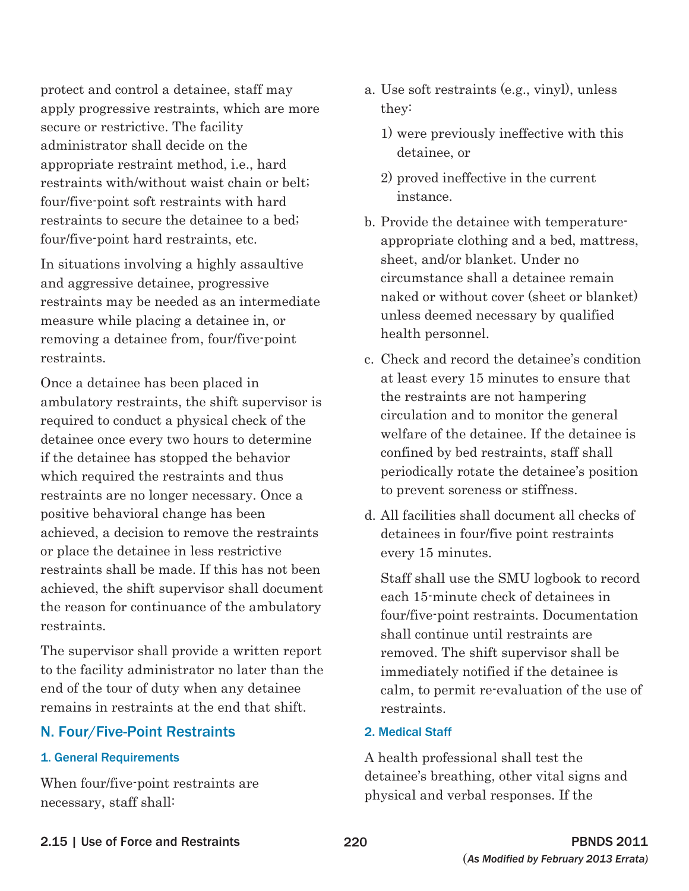protect and control a detainee, staff may apply progressive restraints, which are more secure or restrictive. The facility administrator shall decide on the appropriate restraint method, i.e., hard restraints with/without waist chain or belt; four/five-point soft restraints with hard restraints to secure the detainee to a bed; four/five-point hard restraints, etc.

In situations involving a highly assaultive and aggressive detainee, progressive restraints may be needed as an intermediate measure while placing a detainee in, or removing a detainee from, four/five-point restraints.

Once a detainee has been placed in ambulatory restraints, the shift supervisor is required to conduct a physical check of the detainee once every two hours to determine if the detainee has stopped the behavior which required the restraints and thus restraints are no longer necessary. Once a positive behavioral change has been achieved, a decision to remove the restraints or place the detainee in less restrictive restraints shall be made. If this has not been achieved, the shift supervisor shall document the reason for continuance of the ambulatory restraints.

The supervisor shall provide a written report to the facility administrator no later than the end of the tour of duty when any detainee remains in restraints at the end that shift.

### N. Four/Five-Point Restraints

#### 1. General Requirements

When four/five-point restraints are necessary, staff shall:

- a. Use soft restraints (e.g., vinyl), unless they:
	- 1) were previously ineffective with this detainee, or
	- 2) proved ineffective in the current instance.
- b. Provide the detainee with temperatureappropriate clothing and a bed, mattress, sheet, and/or blanket. Under no circumstance shall a detainee remain naked or without cover (sheet or blanket) unless deemed necessary by qualified health personnel.
- c. Check and record the detainee's condition at least every 15 minutes to ensure that the restraints are not hampering circulation and to monitor the general welfare of the detainee. If the detainee is confined by bed restraints, staff shall periodically rotate the detainee's position to prevent soreness or stiffness.
- d. All facilities shall document all checks of detainees in four/five point restraints every 15 minutes.

Staff shall use the SMU logbook to record each 15-minute check of detainees in four/five-point restraints. Documentation shall continue until restraints are removed. The shift supervisor shall be immediately notified if the detainee is calm, to permit re-evaluation of the use of restraints.

#### 2. Medical Staff

A health professional shall test the detainee's breathing, other vital signs and physical and verbal responses. If the

#### 2.15 | Use of Force and Restraints 220 PBNDS 2011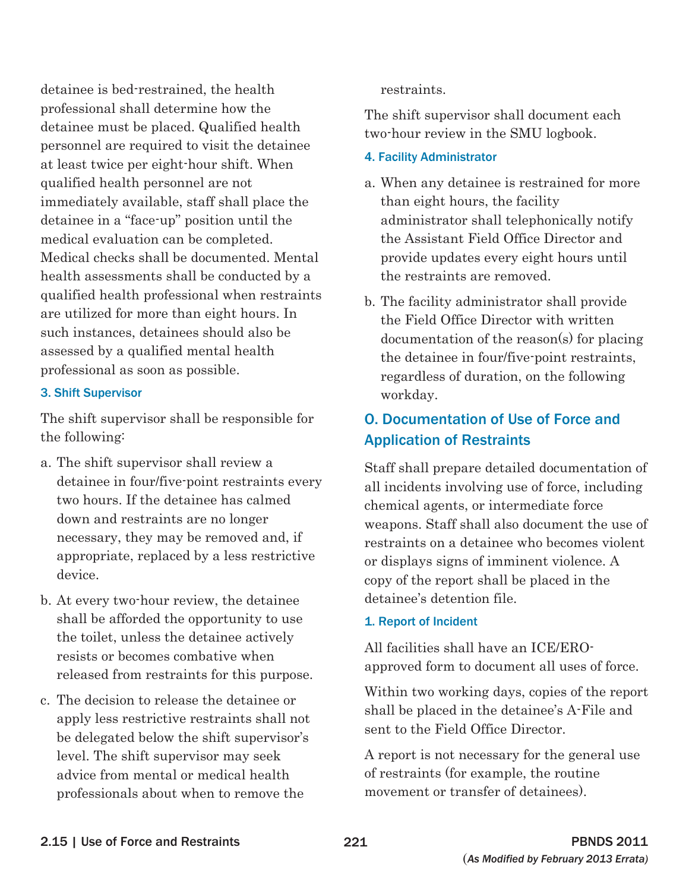detainee is bed-restrained, the health professional shall determine how the detainee must be placed. Qualified health personnel are required to visit the detainee at least twice per eight-hour shift. When qualified health personnel are not immediately available, staff shall place the detainee in a "face-up" position until the medical evaluation can be completed. Medical checks shall be documented. Mental health assessments shall be conducted by a qualified health professional when restraints are utilized for more than eight hours. In such instances, detainees should also be assessed by a qualified mental health professional as soon as possible.

#### 3. Shift Supervisor

The shift supervisor shall be responsible for the following:

- a. The shift supervisor shall review a detainee in four/five-point restraints every two hours. If the detainee has calmed down and restraints are no longer necessary, they may be removed and, if appropriate, replaced by a less restrictive device.
- b. At every two-hour review, the detainee shall be afforded the opportunity to use the toilet, unless the detainee actively resists or becomes combative when released from restraints for this purpose.
- c. The decision to release the detainee or apply less restrictive restraints shall not be delegated below the shift supervisor's level. The shift supervisor may seek advice from mental or medical health professionals about when to remove the

restraints.

The shift supervisor shall document each two-hour review in the SMU logbook.

#### 4. Facility Administrator

- a. When any detainee is restrained for more than eight hours, the facility administrator shall telephonically notify the Assistant Field Office Director and provide updates every eight hours until the restraints are removed.
- b. The facility administrator shall provide the Field Office Director with written documentation of the reason(s) for placing the detainee in four/five-point restraints, regardless of duration, on the following workday.

## O. Documentation of Use of Force and Application of Restraints

Staff shall prepare detailed documentation of all incidents involving use of force, including chemical agents, or intermediate force weapons. Staff shall also document the use of restraints on a detainee who becomes violent or displays signs of imminent violence. A copy of the report shall be placed in the detainee's detention file.

### 1. Report of Incident

All facilities shall have an ICE/EROapproved form to document all uses of force.

Within two working days, copies of the report shall be placed in the detainee's A-File and sent to the Field Office Director.

A report is not necessary for the general use of restraints (for example, the routine movement or transfer of detainees).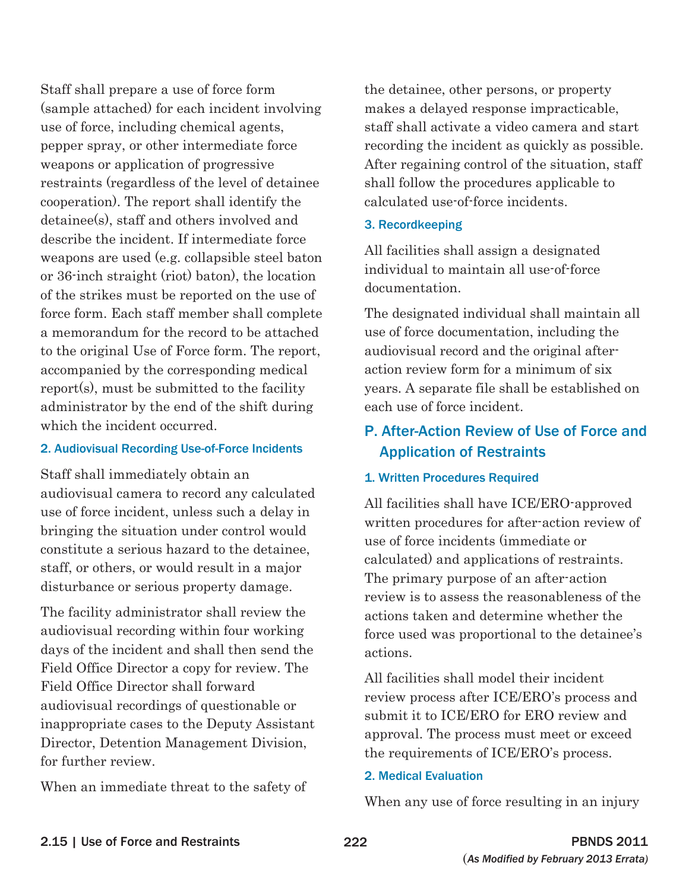Staff shall prepare a use of force form (sample attached) for each incident involving use of force, including chemical agents, pepper spray, or other intermediate force weapons or application of progressive restraints (regardless of the level of detainee cooperation). The report shall identify the detainee(s), staff and others involved and describe the incident. If intermediate force weapons are used (e.g. collapsible steel baton or 36-inch straight (riot) baton), the location of the strikes must be reported on the use of force form. Each staff member shall complete a memorandum for the record to be attached to the original Use of Force form. The report, accompanied by the corresponding medical report(s), must be submitted to the facility administrator by the end of the shift during which the incident occurred.

#### 2. Audiovisual Recording Use-of-Force Incidents

Staff shall immediately obtain an audiovisual camera to record any calculated use of force incident, unless such a delay in bringing the situation under control would constitute a serious hazard to the detainee, staff, or others, or would result in a major disturbance or serious property damage.

The facility administrator shall review the audiovisual recording within four working days of the incident and shall then send the Field Office Director a copy for review. The Field Office Director shall forward audiovisual recordings of questionable or inappropriate cases to the Deputy Assistant Director, Detention Management Division, for further review.

When an immediate threat to the safety of

the detainee, other persons, or property makes a delayed response impracticable, staff shall activate a video camera and start recording the incident as quickly as possible. After regaining control of the situation, staff shall follow the procedures applicable to calculated use-of-force incidents.

#### 3. Recordkeeping

All facilities shall assign a designated individual to maintain all use-of-force documentation.

The designated individual shall maintain all use of force documentation, including the audiovisual record and the original afteraction review form for a minimum of six years. A separate file shall be established on each use of force incident.

## P. After-Action Review of Use of Force and Application of Restraints

#### 1. Written Procedures Required

All facilities shall have ICE/ERO-approved written procedures for after-action review of use of force incidents (immediate or calculated) and applications of restraints. The primary purpose of an after-action review is to assess the reasonableness of the actions taken and determine whether the force used was proportional to the detainee's actions.

All facilities shall model their incident review process after ICE/ERO's process and submit it to ICE/ERO for ERO review and approval. The process must meet or exceed the requirements of ICE/ERO's process.

#### 2. Medical Evaluation

When any use of force resulting in an injury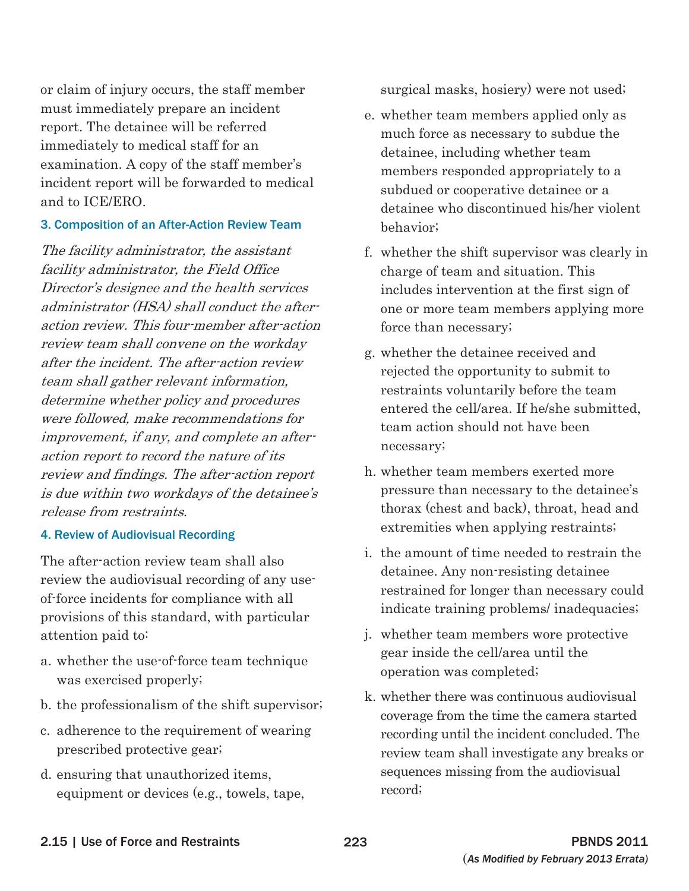or claim of injury occurs, the staff member must immediately prepare an incident report. The detainee will be referred immediately to medical staff for an examination. A copy of the staff member's incident report will be forwarded to medical and to ICE/ERO.

#### 3. Composition of an After-Action Review Team

The facility administrator, the assistant facility administrator, the Field Office Director's designee and the health services administrator (HSA) shall conduct the afteraction review. This four-member after-action review team shall convene on the workday after the incident. The after-action review team shall gather relevant information, determine whether policy and procedures were followed, make recommendations for improvement, if any, and complete an afteraction report to record the nature of its review and findings. The after-action report is due within two workdays of the detainee's release from restraints.

#### 4. Review of Audiovisual Recording

The after-action review team shall also review the audiovisual recording of any useof-force incidents for compliance with all provisions of this standard, with particular attention paid to:

- a. whether the use-of-force team technique was exercised properly;
- b. the professionalism of the shift supervisor;
- c. adherence to the requirement of wearing prescribed protective gear;
- d. ensuring that unauthorized items, equipment or devices (e.g., towels, tape,

surgical masks, hosiery) were not used;

- e. whether team members applied only as much force as necessary to subdue the detainee, including whether team members responded appropriately to a subdued or cooperative detainee or a detainee who discontinued his/her violent behavior;
- f. whether the shift supervisor was clearly in charge of team and situation. This includes intervention at the first sign of one or more team members applying more force than necessary;
- g. whether the detainee received and rejected the opportunity to submit to restraints voluntarily before the team entered the cell/area. If he/she submitted, team action should not have been necessary;
- h. whether team members exerted more pressure than necessary to the detainee's thorax (chest and back), throat, head and extremities when applying restraints;
- i. the amount of time needed to restrain the detainee. Any non-resisting detainee restrained for longer than necessary could indicate training problems/ inadequacies;
- j. whether team members wore protective gear inside the cell/area until the operation was completed;
- k. whether there was continuous audiovisual coverage from the time the camera started recording until the incident concluded. The review team shall investigate any breaks or sequences missing from the audiovisual record;